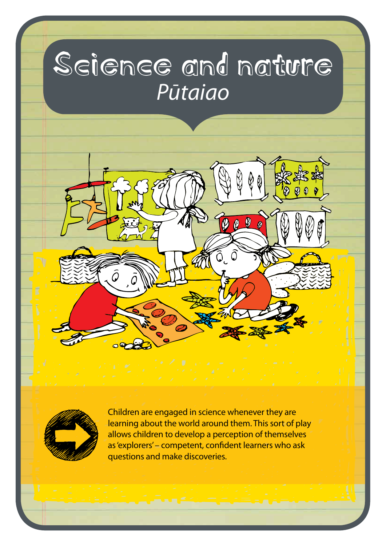# Science and nature *Pūtaiao*



Children are engaged in science whenever they are learning about the world around them. This sort of play allows children to develop a perception of themselves as 'explorers' – competent, confident learners who ask questions and make discoveries.

 $\boldsymbol{\varnothing}$